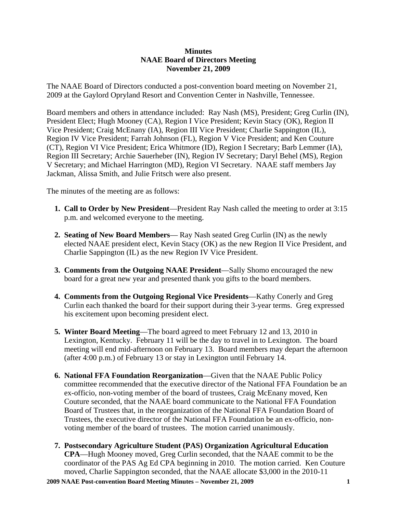## **Minutes NAAE Board of Directors Meeting November 21, 2009**

The NAAE Board of Directors conducted a post-convention board meeting on November 21, 2009 at the Gaylord Opryland Resort and Convention Center in Nashville, Tennessee.

Board members and others in attendance included: Ray Nash (MS), President; Greg Curlin (IN), President Elect; Hugh Mooney (CA), Region I Vice President; Kevin Stacy (OK), Region II Vice President; Craig McEnany (IA), Region III Vice President; Charlie Sappington (IL), Region IV Vice President; Farrah Johnson (FL), Region V Vice President; and Ken Couture (CT), Region VI Vice President; Erica Whitmore (ID), Region I Secretary; Barb Lemmer (IA), Region III Secretary; Archie Sauerheber (IN), Region IV Secretary; Daryl Behel (MS), Region V Secretary; and Michael Harrington (MD), Region VI Secretary. NAAE staff members Jay Jackman, Alissa Smith, and Julie Fritsch were also present.

The minutes of the meeting are as follows:

- **1. Call to Order by New President**—President Ray Nash called the meeting to order at 3:15 p.m. and welcomed everyone to the meeting.
- **2. Seating of New Board Members** Ray Nash seated Greg Curlin (IN) as the newly elected NAAE president elect, Kevin Stacy (OK) as the new Region II Vice President, and Charlie Sappington (IL) as the new Region IV Vice President.
- **3. Comments from the Outgoing NAAE President**—Sally Shomo encouraged the new board for a great new year and presented thank you gifts to the board members.
- **4. Comments from the Outgoing Regional Vice Presidents**—Kathy Conerly and Greg Curlin each thanked the board for their support during their 3-year terms. Greg expressed his excitement upon becoming president elect.
- **5. Winter Board Meeting**—The board agreed to meet February 12 and 13, 2010 in Lexington, Kentucky. February 11 will be the day to travel in to Lexington. The board meeting will end mid-afternoon on February 13. Board members may depart the afternoon (after 4:00 p.m.) of February 13 or stay in Lexington until February 14.
- **6. National FFA Foundation Reorganization**—Given that the NAAE Public Policy committee recommended that the executive director of the National FFA Foundation be an ex-officio, non-voting member of the board of trustees, Craig McEnany moved, Ken Couture seconded, that the NAAE board communicate to the National FFA Foundation Board of Trustees that, in the reorganization of the National FFA Foundation Board of Trustees, the executive director of the National FFA Foundation be an ex-officio, nonvoting member of the board of trustees. The motion carried unanimously.
- **7. Postsecondary Agriculture Student (PAS) Organization Agricultural Education CPA**—Hugh Mooney moved, Greg Curlin seconded, that the NAAE commit to be the coordinator of the PAS Ag Ed CPA beginning in 2010. The motion carried. Ken Couture moved, Charlie Sappington seconded, that the NAAE allocate \$3,000 in the 2010-11

**2009 NAAE Post-convention Board Meeting Minutes – November 21, 2009 1**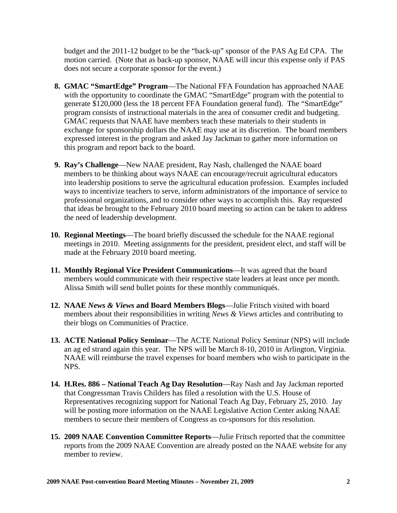budget and the 2011-12 budget to be the "back-up" sponsor of the PAS Ag Ed CPA. The motion carried. (Note that as back-up sponsor, NAAE will incur this expense only if PAS does not secure a corporate sponsor for the event.)

- **8. GMAC "SmartEdge" Program**—The National FFA Foundation has approached NAAE with the opportunity to coordinate the GMAC "SmartEdge" program with the potential to generate \$120,000 (less the 18 percent FFA Foundation general fund). The "SmartEdge" program consists of instructional materials in the area of consumer credit and budgeting. GMAC requests that NAAE have members teach these materials to their students in exchange for sponsorship dollars the NAAE may use at its discretion. The board members expressed interest in the program and asked Jay Jackman to gather more information on this program and report back to the board.
- **9. Ray's Challenge**—New NAAE president, Ray Nash, challenged the NAAE board members to be thinking about ways NAAE can encourage/recruit agricultural educators into leadership positions to serve the agricultural education profession. Examples included ways to incentivize teachers to serve, inform administrators of the importance of service to professional organizations, and to consider other ways to accomplish this. Ray requested that ideas be brought to the February 2010 board meeting so action can be taken to address the need of leadership development.
- **10. Regional Meetings**—The board briefly discussed the schedule for the NAAE regional meetings in 2010. Meeting assignments for the president, president elect, and staff will be made at the February 2010 board meeting.
- **11. Monthly Regional Vice President Communications**—It was agreed that the board members would communicate with their respective state leaders at least once per month. Alissa Smith will send bullet points for these monthly communiqués.
- **12. NAAE** *News & Views* **and Board Members Blogs**—Julie Fritsch visited with board members about their responsibilities in writing *News & Views* articles and contributing to their blogs on Communities of Practice.
- **13. ACTE National Policy Seminar**—The ACTE National Policy Seminar (NPS) will include an ag ed strand again this year. The NPS will be March 8-10, 2010 in Arlington, Virginia. NAAE will reimburse the travel expenses for board members who wish to participate in the NPS.
- **14. H.Res. 886 National Teach Ag Day Resolution**—Ray Nash and Jay Jackman reported that Congressman Travis Childers has filed a resolution with the U.S. House of Representatives recognizing support for National Teach Ag Day, February 25, 2010. Jay will be posting more information on the NAAE Legislative Action Center asking NAAE members to secure their members of Congress as co-sponsors for this resolution.
- **15. 2009 NAAE Convention Committee Reports**—Julie Fritsch reported that the committee reports from the 2009 NAAE Convention are already posted on the NAAE website for any member to review.